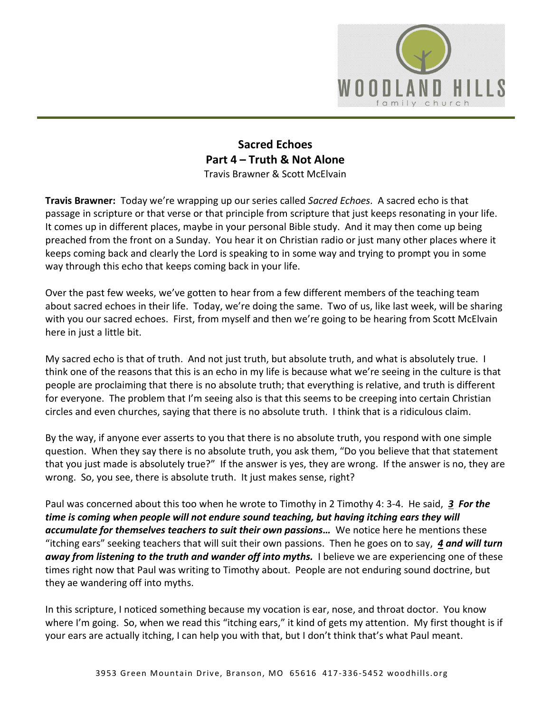

## **Sacred Echoes Part 4 – Truth & Not Alone** Travis Brawner & Scott McElvain

**Travis Brawner:** Today we're wrapping up our series called *Sacred Echoes*. A sacred echo is that passage in scripture or that verse or that principle from scripture that just keeps resonating in your life. It comes up in different places, maybe in your personal Bible study. And it may then come up being preached from the front on a Sunday. You hear it on Christian radio or just many other places where it keeps coming back and clearly the Lord is speaking to in some way and trying to prompt you in some way through this echo that keeps coming back in your life.

Over the past few weeks, we've gotten to hear from a few different members of the teaching team about sacred echoes in their life. Today, we're doing the same. Two of us, like last week, will be sharing with you our sacred echoes. First, from myself and then we're going to be hearing from Scott McElvain here in just a little bit.

My sacred echo is that of truth. And not just truth, but absolute truth, and what is absolutely true. I think one of the reasons that this is an echo in my life is because what we're seeing in the culture is that people are proclaiming that there is no absolute truth; that everything is relative, and truth is different for everyone. The problem that I'm seeing also is that this seems to be creeping into certain Christian circles and even churches, saying that there is no absolute truth. I think that is a ridiculous claim.

By the way, if anyone ever asserts to you that there is no absolute truth, you respond with one simple question. When they say there is no absolute truth, you ask them, "Do you believe that that statement that you just made is absolutely true?" If the answer is yes, they are wrong. If the answer is no, they are wrong. So, you see, there is absolute truth. It just makes sense, right?

Paul was concerned about this too when he wrote to Timothy in 2 Timothy 4: 3-4. He said, *[3](https://www.studylight.org/desk/?q=2ti%204:3&t1=en_esv&sr=1) For the time is coming when people will not endure sound teaching, but having itching ears they will accumulate for themselves teachers to suit their own passions…* We notice here he mentions these "itching ears" seeking teachers that will suit their own passions. Then he goes on to say, *[4](https://www.studylight.org/desk/?q=2ti%204:4&t1=en_esv&sr=1) and will turn away from listening to the truth and wander off into myths.* I believe we are experiencing one of these times right now that Paul was writing to Timothy about. People are not enduring sound doctrine, but they ae wandering off into myths.

In this scripture, I noticed something because my vocation is ear, nose, and throat doctor. You know where I'm going. So, when we read this "itching ears," it kind of gets my attention. My first thought is if your ears are actually itching, I can help you with that, but I don't think that's what Paul meant.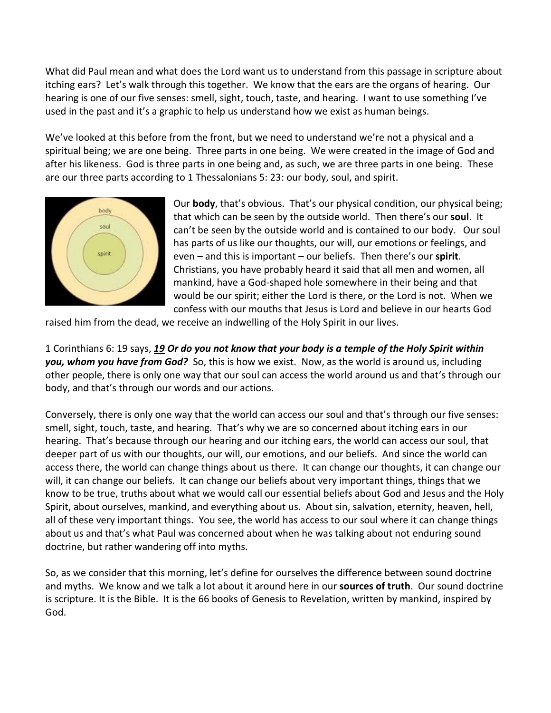What did Paul mean and what does the Lord want us to understand from this passage in scripture about itching ears? Let's walk through this together. We know that the ears are the organs of hearing. Our hearing is one of our five senses: smell, sight, touch, taste, and hearing. I want to use something I've used in the past and it's a graphic to help us understand how we exist as human beings.

We've looked at this before from the front, but we need to understand we're not a physical and a spiritual being; we are one being. Three parts in one being. We were created in the image of God and after his likeness. God is three parts in one being and, as such, we are three parts in one being. These are our three parts according to 1 Thessalonians 5: 23: our body, soul, and spirit.



Our **body**, that's obvious. That's our physical condition, our physical being; that which can be seen by the outside world. Then there's our **soul**. It can't be seen by the outside world and is contained to our body. Our soul has parts of us like our thoughts, our will, our emotions or feelings, and even – and this is important – our beliefs. Then there's our **spirit**. Christians, you have probably heard it said that all men and women, all mankind, have a God-shaped hole somewhere in their being and that would be our spirit; either the Lord is there, or the Lord is not. When we confess with our mouths that Jesus is Lord and believe in our hearts God

raised him from the dead, we receive an indwelling of the Holy Spirit in our lives.

1 Corinthians 6: 19 says, *[19](https://www.studylight.org/desk/?q=1co%206:19&t1=en_esv&sr=1) Or do you not know that your body is a temple of the Holy Spirit within you, whom you have from God?* So, this is how we exist. Now, as the world is around us, including other people, there is only one way that our soul can access the world around us and that's through our body, and that's through our words and our actions.

Conversely, there is only one way that the world can access our soul and that's through our five senses: smell, sight, touch, taste, and hearing. That's why we are so concerned about itching ears in our hearing. That's because through our hearing and our itching ears, the world can access our soul, that deeper part of us with our thoughts, our will, our emotions, and our beliefs. And since the world can access there, the world can change things about us there. It can change our thoughts, it can change our will, it can change our beliefs. It can change our beliefs about very important things, things that we know to be true, truths about what we would call our essential beliefs about God and Jesus and the Holy Spirit, about ourselves, mankind, and everything about us. About sin, salvation, eternity, heaven, hell, all of these very important things. You see, the world has access to our soul where it can change things about us and that's what Paul was concerned about when he was talking about not enduring sound doctrine, but rather wandering off into myths.

So, as we consider that this morning, let's define for ourselves the difference between sound doctrine and myths. We know and we talk a lot about it around here in our **sources of truth**. Our sound doctrine is scripture. It is the Bible. It is the 66 books of Genesis to Revelation, written by mankind, inspired by God.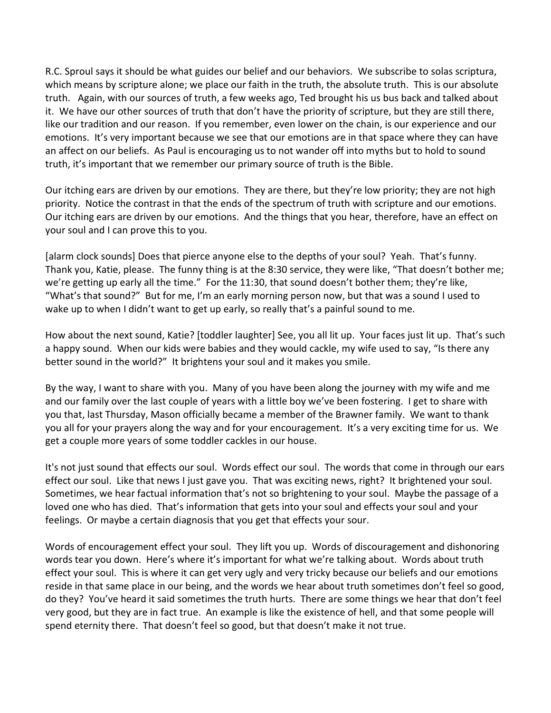R.C. Sproul says it should be what guides our belief and our behaviors. We subscribe to solas scriptura, which means by scripture alone; we place our faith in the truth, the absolute truth. This is our absolute truth. Again, with our sources of truth, a few weeks ago, Ted brought his us bus back and talked about it. We have our other sources of truth that don't have the priority of scripture, but they are still there, like our tradition and our reason. If you remember, even lower on the chain, is our experience and our emotions. It's very important because we see that our emotions are in that space where they can have an affect on our beliefs. As Paul is encouraging us to not wander off into myths but to hold to sound truth, it's important that we remember our primary source of truth is the Bible.

Our itching ears are driven by our emotions. They are there, but they're low priority; they are not high priority. Notice the contrast in that the ends of the spectrum of truth with scripture and our emotions. Our itching ears are driven by our emotions. And the things that you hear, therefore, have an effect on your soul and I can prove this to you.

[alarm clock sounds] Does that pierce anyone else to the depths of your soul? Yeah. That's funny. Thank you, Katie, please. The funny thing is at the 8:30 service, they were like, "That doesn't bother me; we're getting up early all the time." For the 11:30, that sound doesn't bother them; they're like, "What's that sound?" But for me, I'm an early morning person now, but that was a sound I used to wake up to when I didn't want to get up early, so really that's a painful sound to me.

How about the next sound, Katie? [toddler laughter] See, you all lit up. Your faces just lit up. That's such a happy sound. When our kids were babies and they would cackle, my wife used to say, "Is there any better sound in the world?" It brightens your soul and it makes you smile.

By the way, I want to share with you. Many of you have been along the journey with my wife and me and our family over the last couple of years with a little boy we've been fostering. I get to share with you that, last Thursday, Mason officially became a member of the Brawner family. We want to thank you all for your prayers along the way and for your encouragement. It's a very exciting time for us. We get a couple more years of some toddler cackles in our house.

It's not just sound that effects our soul. Words effect our soul. The words that come in through our ears effect our soul. Like that news I just gave you. That was exciting news, right? It brightened your soul. Sometimes, we hear factual information that's not so brightening to your soul. Maybe the passage of a loved one who has died. That's information that gets into your soul and effects your soul and your feelings. Or maybe a certain diagnosis that you get that effects your sour.

Words of encouragement effect your soul. They lift you up. Words of discouragement and dishonoring words tear you down. Here's where it's important for what we're talking about. Words about truth effect your soul. This is where it can get very ugly and very tricky because our beliefs and our emotions reside in that same place in our being, and the words we hear about truth sometimes don't feel so good, do they? You've heard it said sometimes the truth hurts. There are some things we hear that don't feel very good, but they are in fact true. An example is like the existence of hell, and that some people will spend eternity there. That doesn't feel so good, but that doesn't make it not true.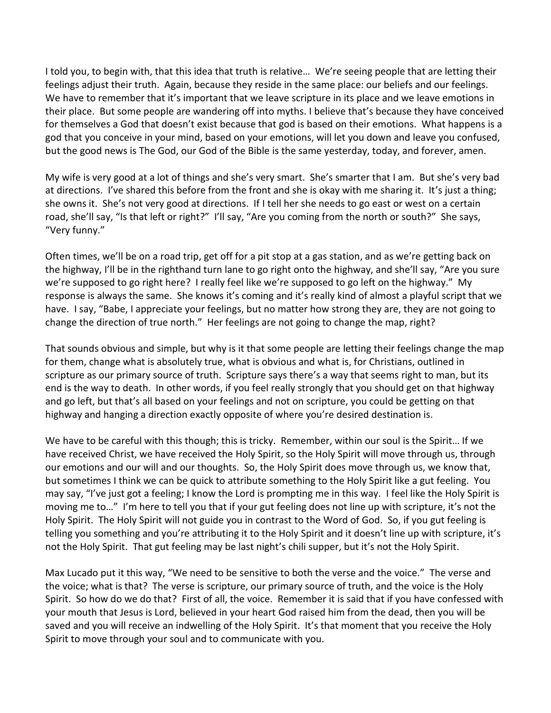I told you, to begin with, that this idea that truth is relative… We're seeing people that are letting their feelings adjust their truth. Again, because they reside in the same place: our beliefs and our feelings. We have to remember that it's important that we leave scripture in its place and we leave emotions in their place. But some people are wandering off into myths. I believe that's because they have conceived for themselves a God that doesn't exist because that god is based on their emotions. What happens is a god that you conceive in your mind, based on your emotions, will let you down and leave you confused, but the good news is The God, our God of the Bible is the same yesterday, today, and forever, amen.

My wife is very good at a lot of things and she's very smart. She's smarter that I am. But she's very bad at directions. I've shared this before from the front and she is okay with me sharing it. It's just a thing; she owns it. She's not very good at directions. If I tell her she needs to go east or west on a certain road, she'll say, "Is that left or right?" I'll say, "Are you coming from the north or south?" She says, "Very funny."

Often times, we'll be on a road trip, get off for a pit stop at a gas station, and as we're getting back on the highway, I'll be in the righthand turn lane to go right onto the highway, and she'll say, "Are you sure we're supposed to go right here? I really feel like we're supposed to go left on the highway." My response is always the same. She knows it's coming and it's really kind of almost a playful script that we have. I say, "Babe, I appreciate your feelings, but no matter how strong they are, they are not going to change the direction of true north." Her feelings are not going to change the map, right?

That sounds obvious and simple, but why is it that some people are letting their feelings change the map for them, change what is absolutely true, what is obvious and what is, for Christians, outlined in scripture as our primary source of truth. Scripture says there's a way that seems right to man, but its end is the way to death. In other words, if you feel really strongly that you should get on that highway and go left, but that's all based on your feelings and not on scripture, you could be getting on that highway and hanging a direction exactly opposite of where you're desired destination is.

We have to be careful with this though; this is tricky. Remember, within our soul is the Spirit… If we have received Christ, we have received the Holy Spirit, so the Holy Spirit will move through us, through our emotions and our will and our thoughts. So, the Holy Spirit does move through us, we know that, but sometimes I think we can be quick to attribute something to the Holy Spirit like a gut feeling. You may say, "I've just got a feeling; I know the Lord is prompting me in this way. I feel like the Holy Spirit is moving me to…" I'm here to tell you that if your gut feeling does not line up with scripture, it's not the Holy Spirit. The Holy Spirit will not guide you in contrast to the Word of God. So, if you gut feeling is telling you something and you're attributing it to the Holy Spirit and it doesn't line up with scripture, it's not the Holy Spirit. That gut feeling may be last night's chili supper, but it's not the Holy Spirit.

Max Lucado put it this way, "We need to be sensitive to both the verse and the voice." The verse and the voice; what is that? The verse is scripture, our primary source of truth, and the voice is the Holy Spirit. So how do we do that? First of all, the voice. Remember it is said that if you have confessed with your mouth that Jesus is Lord, believed in your heart God raised him from the dead, then you will be saved and you will receive an indwelling of the Holy Spirit. It's that moment that you receive the Holy Spirit to move through your soul and to communicate with you.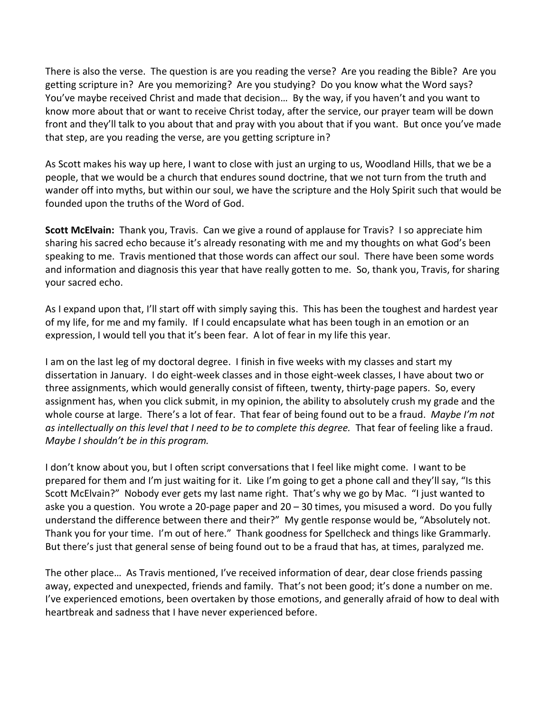There is also the verse. The question is are you reading the verse? Are you reading the Bible? Are you getting scripture in? Are you memorizing? Are you studying? Do you know what the Word says? You've maybe received Christ and made that decision… By the way, if you haven't and you want to know more about that or want to receive Christ today, after the service, our prayer team will be down front and they'll talk to you about that and pray with you about that if you want. But once you've made that step, are you reading the verse, are you getting scripture in?

As Scott makes his way up here, I want to close with just an urging to us, Woodland Hills, that we be a people, that we would be a church that endures sound doctrine, that we not turn from the truth and wander off into myths, but within our soul, we have the scripture and the Holy Spirit such that would be founded upon the truths of the Word of God.

**Scott McElvain:** Thank you, Travis. Can we give a round of applause for Travis? I so appreciate him sharing his sacred echo because it's already resonating with me and my thoughts on what God's been speaking to me. Travis mentioned that those words can affect our soul. There have been some words and information and diagnosis this year that have really gotten to me. So, thank you, Travis, for sharing your sacred echo.

As I expand upon that, I'll start off with simply saying this. This has been the toughest and hardest year of my life, for me and my family. If I could encapsulate what has been tough in an emotion or an expression, I would tell you that it's been fear. A lot of fear in my life this year.

I am on the last leg of my doctoral degree. I finish in five weeks with my classes and start my dissertation in January. I do eight-week classes and in those eight-week classes, I have about two or three assignments, which would generally consist of fifteen, twenty, thirty-page papers. So, every assignment has, when you click submit, in my opinion, the ability to absolutely crush my grade and the whole course at large. There's a lot of fear. That fear of being found out to be a fraud. *Maybe I'm not as intellectually on this level that I need to be to complete this degree.* That fear of feeling like a fraud. *Maybe I shouldn't be in this program.*

I don't know about you, but I often script conversations that I feel like might come. I want to be prepared for them and I'm just waiting for it. Like I'm going to get a phone call and they'll say, "Is this Scott McElvain?" Nobody ever gets my last name right. That's why we go by Mac. "I just wanted to aske you a question. You wrote a 20-page paper and 20 – 30 times, you misused a word. Do you fully understand the difference between there and their?" My gentle response would be, "Absolutely not. Thank you for your time. I'm out of here." Thank goodness for Spellcheck and things like Grammarly. But there's just that general sense of being found out to be a fraud that has, at times, paralyzed me.

The other place… As Travis mentioned, I've received information of dear, dear close friends passing away, expected and unexpected, friends and family. That's not been good; it's done a number on me. I've experienced emotions, been overtaken by those emotions, and generally afraid of how to deal with heartbreak and sadness that I have never experienced before.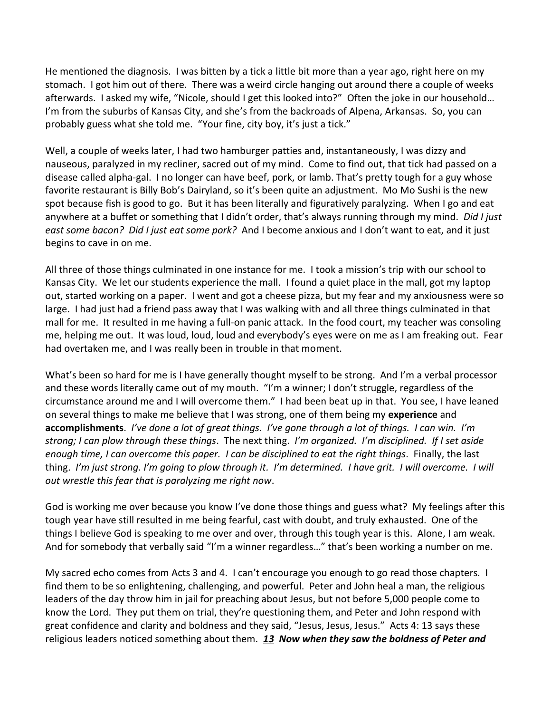He mentioned the diagnosis. I was bitten by a tick a little bit more than a year ago, right here on my stomach. I got him out of there. There was a weird circle hanging out around there a couple of weeks afterwards. I asked my wife, "Nicole, should I get this looked into?" Often the joke in our household… I'm from the suburbs of Kansas City, and she's from the backroads of Alpena, Arkansas. So, you can probably guess what she told me. "Your fine, city boy, it's just a tick."

Well, a couple of weeks later, I had two hamburger patties and, instantaneously, I was dizzy and nauseous, paralyzed in my recliner, sacred out of my mind. Come to find out, that tick had passed on a disease called alpha-gal. I no longer can have beef, pork, or lamb. That's pretty tough for a guy whose favorite restaurant is Billy Bob's Dairyland, so it's been quite an adjustment. Mo Mo Sushi is the new spot because fish is good to go. But it has been literally and figuratively paralyzing. When I go and eat anywhere at a buffet or something that I didn't order, that's always running through my mind. *Did I just east some bacon? Did I just eat some pork?* And I become anxious and I don't want to eat, and it just begins to cave in on me.

All three of those things culminated in one instance for me. I took a mission's trip with our school to Kansas City. We let our students experience the mall. I found a quiet place in the mall, got my laptop out, started working on a paper. I went and got a cheese pizza, but my fear and my anxiousness were so large. I had just had a friend pass away that I was walking with and all three things culminated in that mall for me. It resulted in me having a full-on panic attack. In the food court, my teacher was consoling me, helping me out. It was loud, loud, loud and everybody's eyes were on me as I am freaking out. Fear had overtaken me, and I was really been in trouble in that moment.

What's been so hard for me is I have generally thought myself to be strong. And I'm a verbal processor and these words literally came out of my mouth. "I'm a winner; I don't struggle, regardless of the circumstance around me and I will overcome them." I had been beat up in that. You see, I have leaned on several things to make me believe that I was strong, one of them being my **experience** and **accomplishments**. *I've done a lot of great things. I've gone through a lot of things. I can win. I'm strong; I can plow through these things*. The next thing. *I'm organized. I'm disciplined. If I set aside enough time, I can overcome this paper. I can be disciplined to eat the right things*. Finally, the last thing. *I'm just strong. I'm going to plow through it. I'm determined. I have grit. I will overcome. I will out wrestle this fear that is paralyzing me right now*.

God is working me over because you know I've done those things and guess what? My feelings after this tough year have still resulted in me being fearful, cast with doubt, and truly exhausted. One of the things I believe God is speaking to me over and over, through this tough year is this. Alone, I am weak. And for somebody that verbally said "I'm a winner regardless…" that's been working a number on me.

My sacred echo comes from Acts 3 and 4. I can't encourage you enough to go read those chapters. I find them to be so enlightening, challenging, and powerful. Peter and John heal a man, the religious leaders of the day throw him in jail for preaching about Jesus, but not before 5,000 people come to know the Lord. They put them on trial, they're questioning them, and Peter and John respond with great confidence and clarity and boldness and they said, "Jesus, Jesus, Jesus." Acts 4: 13 says these religious leaders noticed something about them. *[13](https://www.studylight.org/desk/?q=ac%204:13&t1=en_esv&sr=1) Now when they saw the boldness of Peter and*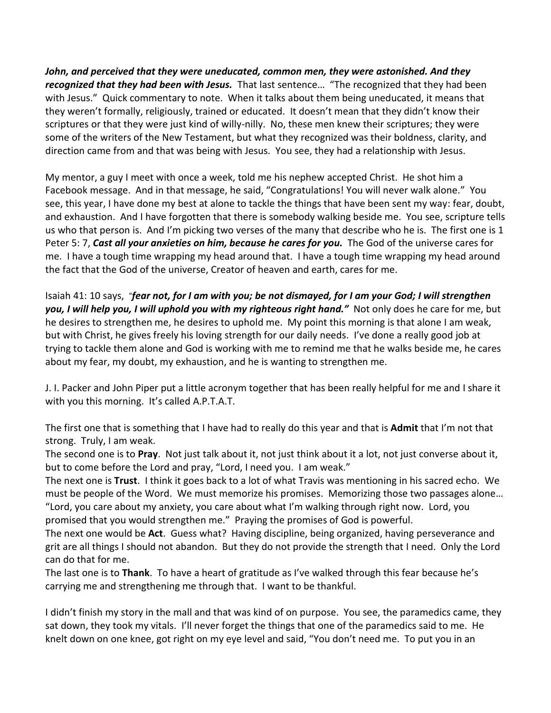*John, and perceived that they were uneducated, common men, they were astonished. And they recognized that they had been with Jesus.* That last sentence… "The recognized that they had been with Jesus." Quick commentary to note. When it talks about them being uneducated, it means that they weren't formally, religiously, trained or educated. It doesn't mean that they didn't know their scriptures or that they were just kind of willy-nilly. No, these men knew their scriptures; they were some of the writers of the New Testament, but what they recognized was their boldness, clarity, and direction came from and that was being with Jesus. You see, they had a relationship with Jesus.

My mentor, a guy I meet with once a week, told me his nephew accepted Christ. He shot him a Facebook message. And in that message, he said, "Congratulations! You will never walk alone." You see, this year, I have done my best at alone to tackle the things that have been sent my way: fear, doubt, and exhaustion. And I have forgotten that there is somebody walking beside me. You see, scripture tells us who that person is. And I'm picking two verses of the many that describe who he is. The first one is 1 Peter 5: 7, *Cast all your anxieties on him, because he cares for you.* The God of the universe cares for me. I have a tough time wrapping my head around that. I have a tough time wrapping my head around the fact that the God of the universe, Creator of heaven and earth, cares for me.

Isaiah 41: 10 says, "*fear not, for I am with you; be not dismayed, for I am your God; I will strengthen you, I will help you, I will uphold you with my righteous right hand."* Not only does he care for me, but he desires to strengthen me, he desires to uphold me. My point this morning is that alone I am weak, but with Christ, he gives freely his loving strength for our daily needs. I've done a really good job at trying to tackle them alone and God is working with me to remind me that he walks beside me, he cares about my fear, my doubt, my exhaustion, and he is wanting to strengthen me.

J. I. Packer and John Piper put a little acronym together that has been really helpful for me and I share it with you this morning. It's called A.P.T.A.T.

The first one that is something that I have had to really do this year and that is **Admit** that I'm not that strong. Truly, I am weak.

The second one is to **Pray**. Not just talk about it, not just think about it a lot, not just converse about it, but to come before the Lord and pray, "Lord, I need you. I am weak."

The next one is **Trust**. I think it goes back to a lot of what Travis was mentioning in his sacred echo. We must be people of the Word. We must memorize his promises. Memorizing those two passages alone… "Lord, you care about my anxiety, you care about what I'm walking through right now. Lord, you promised that you would strengthen me." Praying the promises of God is powerful.

The next one would be **Act**. Guess what? Having discipline, being organized, having perseverance and grit are all things I should not abandon. But they do not provide the strength that I need. Only the Lord can do that for me.

The last one is to **Thank**. To have a heart of gratitude as I've walked through this fear because he's carrying me and strengthening me through that. I want to be thankful.

I didn't finish my story in the mall and that was kind of on purpose. You see, the paramedics came, they sat down, they took my vitals. I'll never forget the things that one of the paramedics said to me. He knelt down on one knee, got right on my eye level and said, "You don't need me. To put you in an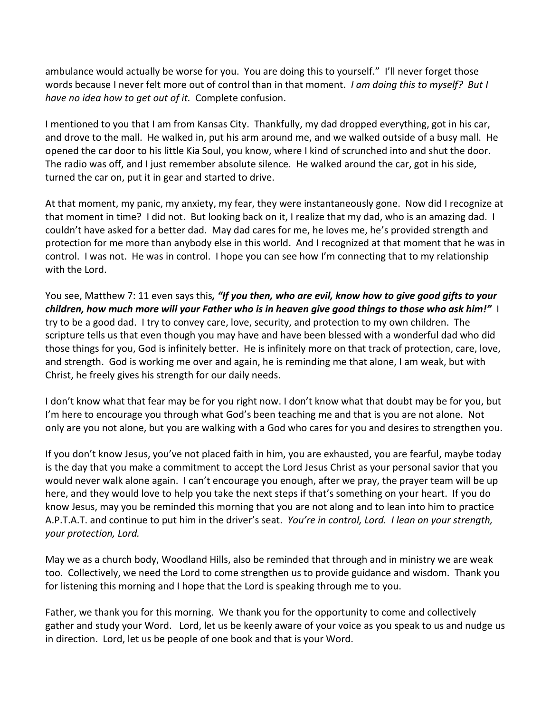ambulance would actually be worse for you. You are doing this to yourself." I'll never forget those words because I never felt more out of control than in that moment. *I am doing this to myself? But I have no idea how to get out of it.* Complete confusion.

I mentioned to you that I am from Kansas City. Thankfully, my dad dropped everything, got in his car, and drove to the mall. He walked in, put his arm around me, and we walked outside of a busy mall. He opened the car door to his little Kia Soul, you know, where I kind of scrunched into and shut the door. The radio was off, and I just remember absolute silence. He walked around the car, got in his side, turned the car on, put it in gear and started to drive.

At that moment, my panic, my anxiety, my fear, they were instantaneously gone. Now did I recognize at that moment in time? I did not. But looking back on it, I realize that my dad, who is an amazing dad. I couldn't have asked for a better dad. May dad cares for me, he loves me, he's provided strength and protection for me more than anybody else in this world. And I recognized at that moment that he was in control. I was not. He was in control. I hope you can see how I'm connecting that to my relationship with the Lord.

You see, Matthew 7: 11 even says this*, "If you then, who are evil, know how to give good gifts to your children, how much more will your Father who is in heaven give good things to those who ask him!"* I try to be a good dad. I try to convey care, love, security, and protection to my own children. The scripture tells us that even though you may have and have been blessed with a wonderful dad who did those things for you, God is infinitely better. He is infinitely more on that track of protection, care, love, and strength. God is working me over and again, he is reminding me that alone, I am weak, but with Christ, he freely gives his strength for our daily needs.

I don't know what that fear may be for you right now. I don't know what that doubt may be for you, but I'm here to encourage you through what God's been teaching me and that is you are not alone. Not only are you not alone, but you are walking with a God who cares for you and desires to strengthen you.

If you don't know Jesus, you've not placed faith in him, you are exhausted, you are fearful, maybe today is the day that you make a commitment to accept the Lord Jesus Christ as your personal savior that you would never walk alone again. I can't encourage you enough, after we pray, the prayer team will be up here, and they would love to help you take the next steps if that's something on your heart. If you do know Jesus, may you be reminded this morning that you are not along and to lean into him to practice A.P.T.A.T. and continue to put him in the driver's seat. *You're in control, Lord. I lean on your strength, your protection, Lord.*

May we as a church body, Woodland Hills, also be reminded that through and in ministry we are weak too. Collectively, we need the Lord to come strengthen us to provide guidance and wisdom. Thank you for listening this morning and I hope that the Lord is speaking through me to you.

Father, we thank you for this morning. We thank you for the opportunity to come and collectively gather and study your Word. Lord, let us be keenly aware of your voice as you speak to us and nudge us in direction. Lord, let us be people of one book and that is your Word.